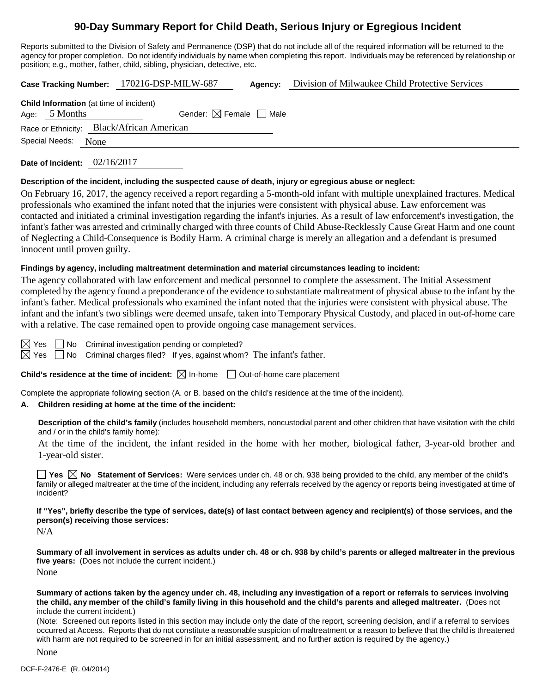# **90-Day Summary Report for Child Death, Serious Injury or Egregious Incident**

Reports submitted to the Division of Safety and Permanence (DSP) that do not include all of the required information will be returned to the agency for proper completion. Do not identify individuals by name when completing this report. Individuals may be referenced by relationship or position; e.g., mother, father, child, sibling, physician, detective, etc.

|                |                                                                   | Case Tracking Number: 170216-DSP-MILW-687 | Agency: | Division of Milwaukee Child Protective Services |
|----------------|-------------------------------------------------------------------|-------------------------------------------|---------|-------------------------------------------------|
|                | <b>Child Information</b> (at time of incident)<br>Age: $5$ Months | Gender: $\boxtimes$ Female $\Box$ Male    |         |                                                 |
| Special Needs: | None                                                              | Race or Ethnicity: Black/African American |         |                                                 |

**Date of Incident:** 02/16/2017

#### **Description of the incident, including the suspected cause of death, injury or egregious abuse or neglect:**

On February 16, 2017, the agency received a report regarding a 5-month-old infant with multiple unexplained fractures. Medical professionals who examined the infant noted that the injuries were consistent with physical abuse. Law enforcement was contacted and initiated a criminal investigation regarding the infant's injuries. As a result of law enforcement's investigation, the infant's father was arrested and criminally charged with three counts of Child Abuse-Recklessly Cause Great Harm and one count of Neglecting a Child-Consequence is Bodily Harm. A criminal charge is merely an allegation and a defendant is presumed innocent until proven guilty.

#### **Findings by agency, including maltreatment determination and material circumstances leading to incident:**

The agency collaborated with law enforcement and medical personnel to complete the assessment. The Initial Assessment completed by the agency found a preponderance of the evidence to substantiate maltreatment of physical abuse to the infant by the infant's father. Medical professionals who examined the infant noted that the injuries were consistent with physical abuse. The infant and the infant's two siblings were deemed unsafe, taken into Temporary Physical Custody, and placed in out-of-home care with a relative. The case remained open to provide ongoing case management services.

 $\boxtimes$  Yes  $\Box$  No Criminal investigation pending or completed?

 $\boxtimes$  Yes  $\Box$  No Criminal charges filed? If yes, against whom? The infant's father.

## **Child's residence at the time of incident:**  $\boxtimes$  In-home  $\Box$  Out-of-home care placement

Complete the appropriate following section (A. or B. based on the child's residence at the time of the incident).

## **A. Children residing at home at the time of the incident:**

**Description of the child's family** (includes household members, noncustodial parent and other children that have visitation with the child and / or in the child's family home):

At the time of the incident, the infant resided in the home with her mother, biological father, 3-year-old brother and 1-year-old sister.

**Yes**  $\boxtimes$  **No** Statement of Services: Were services under ch. 48 or ch. 938 being provided to the child, any member of the child's family or alleged maltreater at the time of the incident, including any referrals received by the agency or reports being investigated at time of incident?

**If "Yes", briefly describe the type of services, date(s) of last contact between agency and recipient(s) of those services, and the person(s) receiving those services:**

N/A

**Summary of all involvement in services as adults under ch. 48 or ch. 938 by child's parents or alleged maltreater in the previous five years:** (Does not include the current incident.) None

**Summary of actions taken by the agency under ch. 48, including any investigation of a report or referrals to services involving the child, any member of the child's family living in this household and the child's parents and alleged maltreater.** (Does not include the current incident.)

(Note: Screened out reports listed in this section may include only the date of the report, screening decision, and if a referral to services occurred at Access. Reports that do not constitute a reasonable suspicion of maltreatment or a reason to believe that the child is threatened with harm are not required to be screened in for an initial assessment, and no further action is required by the agency.)

None